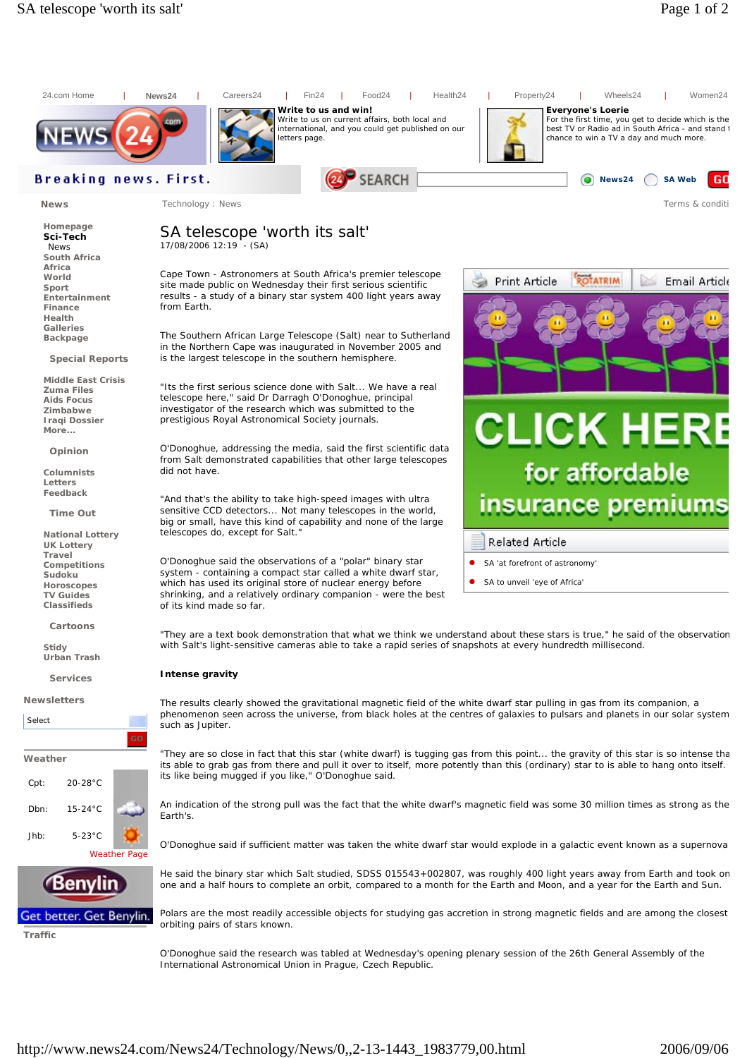